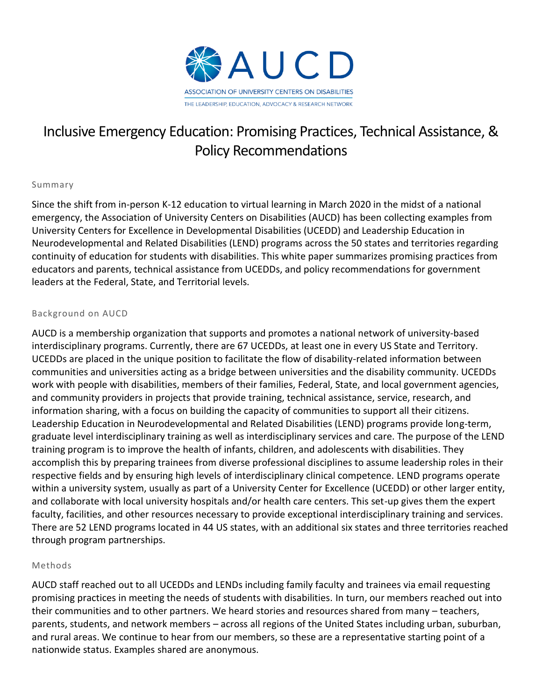

# Inclusive Emergency Education: Promising Practices, Technical Assistance, & Policy Recommendations

### Summary

Since the shift from in-person K-12 education to virtual learning in March 2020 in the midst of a national emergency, the Association of University Centers on Disabilities (AUCD) has been collecting examples from University Centers for Excellence in Developmental Disabilities (UCEDD) and Leadership Education in Neurodevelopmental and Related Disabilities (LEND) programs across the 50 states and territories regarding continuity of education for students with disabilities. This white paper summarizes promising practices from educators and parents, technical assistance from UCEDDs, and policy recommendations for government leaders at the Federal, State, and Territorial levels.

#### Background on AUCD

AUCD is a membership organization that supports and promotes a national network of university-based interdisciplinary programs. Currently, there are 67 UCEDDs, at least one in every US State and Territory. UCEDDs are placed in the unique position to facilitate the flow of disability-related information between communities and universities acting as a bridge between universities and the disability community. UCEDDs work with people with disabilities, members of their families, Federal, State, and local government agencies, and community providers in projects that provide training, technical assistance, service, research, and information sharing, with a focus on building the capacity of communities to support all their citizens. Leadership Education in Neurodevelopmental and Related Disabilities (LEND) programs provide long-term, graduate level interdisciplinary training as well as interdisciplinary services and care. The purpose of the LEND training program is to improve the health of infants, children, and adolescents with disabilities. They accomplish this by preparing trainees from diverse professional disciplines to assume leadership roles in their respective fields and by ensuring high levels of interdisciplinary clinical competence. LEND programs operate within a university system, usually as part of a University Center for Excellence (UCEDD) or other larger entity, and collaborate with local university hospitals and/or health care centers. This set-up gives them the expert faculty, facilities, and other resources necessary to provide exceptional interdisciplinary training and services. There are 52 LEND programs located in 44 US states, with an additional six states and three territories reached through program partnerships.

#### Methods

AUCD staff reached out to all UCEDDs and LENDs including family faculty and trainees via email requesting promising practices in meeting the needs of students with disabilities. In turn, our members reached out into their communities and to other partners. We heard stories and resources shared from many – teachers, parents, students, and network members – across all regions of the United States including urban, suburban, and rural areas. We continue to hear from our members, so these are a representative starting point of a nationwide status. Examples shared are anonymous.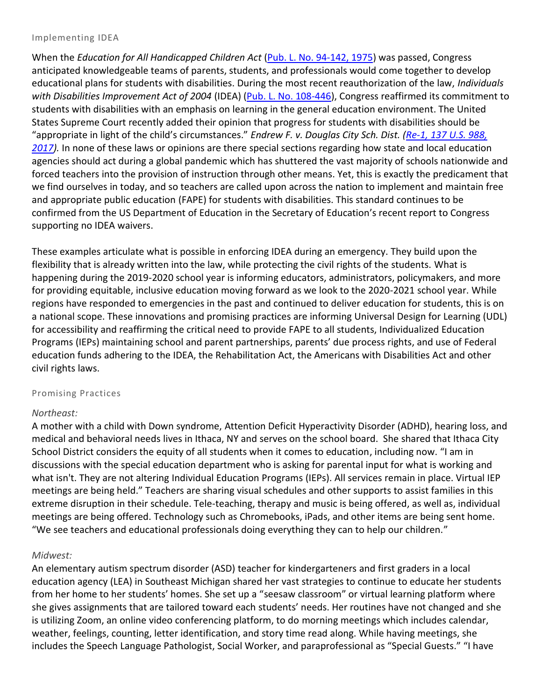#### Implementing IDEA

When the *Education for All Handicapped Children Act* [\(Pub. L. No. 94-142, 1975\)](https://www.govinfo.gov/content/pkg/STATUTE-89/pdf/STATUTE-89-Pg773.pdf) was passed, Congress anticipated knowledgeable teams of parents, students, and professionals would come together to develop educational plans for students with disabilities. During the most recent reauthorization of the law, *Individuals with Disabilities Improvement Act of 2004* (IDEA) [\(Pub. L. No. 108-446\)](https://www.congress.gov/108/plaws/publ446/PLAW-108publ446.pdf), Congress reaffirmed its commitment to students with disabilities with an emphasis on learning in the general education environment. The United States Supreme Court recently added their opinion that progress for students with disabilities should be "appropriate in light of the child's circumstances." *Endrew F. v. Douglas City Sch. Dist. [\(Re-1, 137](https://casetext.com/case/f-jennifer-f-v-douglas-cnty-sch-dist-re-1) U.S. 988, [2017\)](https://casetext.com/case/f-jennifer-f-v-douglas-cnty-sch-dist-re-1).* In none of these laws or opinions are there special sections regarding how state and local education agencies should act during a global pandemic which has shuttered the vast majority of schools nationwide and forced teachers into the provision of instruction through other means. Yet, this is exactly the predicament that we find ourselves in today, and so teachers are called upon across the nation to implement and maintain free and appropriate public education (FAPE) for students with disabilities. This standard continues to be confirmed from the US Department of Education in the Secretary of Education's recent report to Congress supporting no IDEA waivers.

These examples articulate what is possible in enforcing IDEA during an emergency. They build upon the flexibility that is already written into the law, while protecting the civil rights of the students. What is happening during the 2019-2020 school year is informing educators, administrators, policymakers, and more for providing equitable, inclusive education moving forward as we look to the 2020-2021 school year. While regions have responded to emergencies in the past and continued to deliver education for students, this is on a national scope. These innovations and promising practices are informing Universal Design for Learning (UDL) for accessibility and reaffirming the critical need to provide FAPE to all students, Individualized Education Programs (IEPs) maintaining school and parent partnerships, parents' due process rights, and use of Federal education funds adhering to the IDEA, the Rehabilitation Act, the Americans with Disabilities Act and other civil rights laws.

# Promising Practices

# *Northeast:*

A mother with a child with Down syndrome, Attention Deficit Hyperactivity Disorder (ADHD), hearing loss, and medical and behavioral needs lives in Ithaca, NY and serves on the school board. She shared that Ithaca City School District considers the equity of all students when it comes to education, including now. "I am in discussions with the special education department who is asking for parental input for what is working and what isn't. They are not altering Individual Education Programs (IEPs). All services remain in place. Virtual IEP meetings are being held." Teachers are sharing visual schedules and other supports to assist families in this extreme disruption in their schedule. Tele-teaching, therapy and music is being offered, as well as, individual meetings are being offered. Technology such as Chromebooks, iPads, and other items are being sent home. "We see teachers and educational professionals doing everything they can to help our children."

# *Midwest:*

An elementary autism spectrum disorder (ASD) teacher for kindergarteners and first graders in a local education agency (LEA) in Southeast Michigan shared her vast strategies to continue to educate her students from her home to her students' homes. She set up a "seesaw classroom" or virtual learning platform where she gives assignments that are tailored toward each students' needs. Her routines have not changed and she is utilizing Zoom, an online video conferencing platform, to do morning meetings which includes calendar, weather, feelings, counting, letter identification, and story time read along. While having meetings, she includes the Speech Language Pathologist, Social Worker, and paraprofessional as "Special Guests." "I have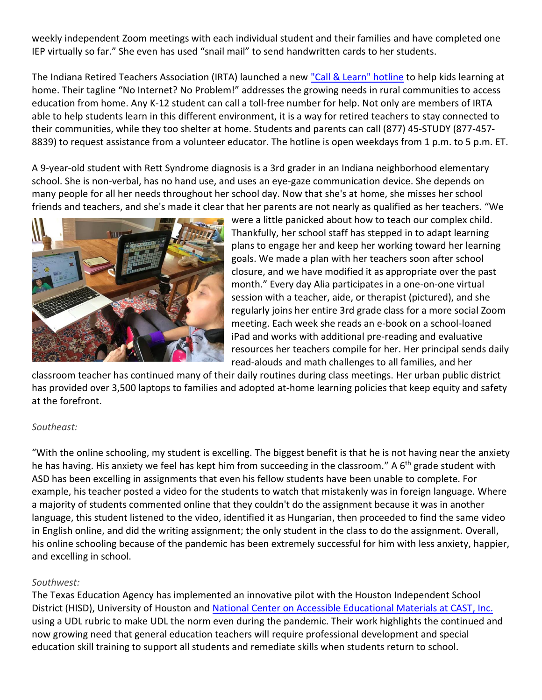weekly independent Zoom meetings with each individual student and their families and have completed one IEP virtually so far." She even has used "snail mail" to send handwritten cards to her students.

The Indiana Retired Teachers Association (IRTA) launched a new ["Call & Learn" hotline](https://www.wthr.com/article/call-learn-hotline-gives-indiana-students-homework-help-they-need) to help kids learning at home. Their tagline "No Internet? No Problem!" addresses the growing needs in rural communities to access education from home. Any K-12 student can call a toll-free number for help. Not only are members of IRTA able to help students learn in this different environment, it is a way for retired teachers to stay connected to their communities, while they too shelter at home. Students and parents can call (877) 45-STUDY (877-457- 8839) to request assistance from a volunteer educator. The hotline is open weekdays from 1 p.m. to 5 p.m. ET.

A 9-year-old student with Rett Syndrome diagnosis is a 3rd grader in an Indiana neighborhood elementary school. She is non-verbal, has no hand use, and uses an eye-gaze communication device. She depends on many people for all her needs throughout her school day. Now that she's at home, she misses her school friends and teachers, and she's made it clear that her parents are not nearly as qualified as her teachers. "We



were a little panicked about how to teach our complex child. Thankfully, her school staff has stepped in to adapt learning plans to engage her and keep her working toward her learning goals. We made a plan with her teachers soon after school closure, and we have modified it as appropriate over the past month." Every day Alia participates in a one-on-one virtual session with a teacher, aide, or therapist (pictured), and she regularly joins her entire 3rd grade class for a more social Zoom meeting. Each week she reads an e-book on a school-loaned iPad and works with additional pre-reading and evaluative resources her teachers compile for her. Her principal sends daily read-alouds and math challenges to all families, and her

classroom teacher has continued many of their daily routines during class meetings. Her urban public district has provided over 3,500 laptops to families and adopted at-home learning policies that keep equity and safety at the forefront.

### *Southeast:*

"With the online schooling, my student is excelling. The biggest benefit is that he is not having near the anxiety he has having. His anxiety we feel has kept him from succeeding in the classroom." A 6<sup>th</sup> grade student with ASD has been excelling in assignments that even his fellow students have been unable to complete. For example, his teacher posted a video for the students to watch that mistakenly was in foreign language. Where a majority of students commented online that they couldn't do the assignment because it was in another language, this student listened to the video, identified it as Hungarian, then proceeded to find the same video in English online, and did the writing assignment; the only student in the class to do the assignment. Overall, his online schooling because of the pandemic has been extremely successful for him with less anxiety, happier, and excelling in school.

### *Southwest:*

The Texas Education Agency has implemented an innovative pilot with the Houston Independent School District (HISD), University of Houston and [National Center on Accessible Educational Materials at CAST, Inc.](file:///C:/Users/drozell/AppData/Local/Microsoft/Windows/INetCache/Content.Outlook/IQ7EJMQ8/National%20Center%20on%20Accessible%20Educational%20Materials%20at%20CAST,%20Inc) using a UDL rubric to make UDL the norm even during the pandemic. Their work highlights the continued and now growing need that general education teachers will require professional development and special education skill training to support all students and remediate skills when students return to school.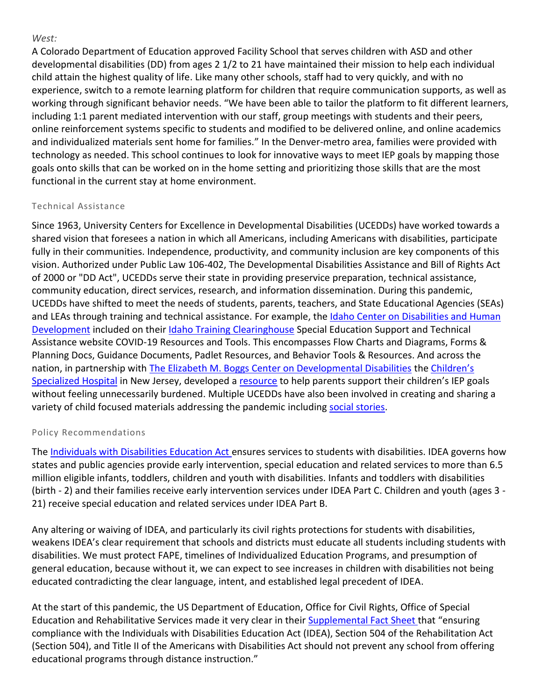## *West:*

A Colorado Department of Education approved Facility School that serves children with ASD and other developmental disabilities (DD) from ages 2 1/2 to 21 have maintained their mission to help each individual child attain the highest quality of life. Like many other schools, staff had to very quickly, and with no experience, switch to a remote learning platform for children that require communication supports, as well as working through significant behavior needs. "We have been able to tailor the platform to fit different learners, including 1:1 parent mediated intervention with our staff, group meetings with students and their peers, online reinforcement systems specific to students and modified to be delivered online, and online academics and individualized materials sent home for families." In the Denver-metro area, families were provided with technology as needed. This school continues to look for innovative ways to meet IEP goals by mapping those goals onto skills that can be worked on in the home setting and prioritizing those skills that are the most functional in the current stay at home environment.

# Technical Assistance

Since 1963, University Centers for Excellence in Developmental Disabilities (UCEDDs) have worked towards a shared vision that foresees a nation in which all Americans, including Americans with disabilities, participate fully in their communities. Independence, productivity, and community inclusion are key components of this vision. Authorized under Public Law 106-402, The Developmental Disabilities Assistance and Bill of Rights Act of 2000 or "DD Act", UCEDDs serve their state in providing preservice preparation, technical assistance, community education, direct services, research, and information dissemination. During this pandemic, UCEDDs have shifted to meet the needs of students, parents, teachers, and State Educational Agencies (SEAs) and LEAs through training and technical assistance. For example, the Idaho Center on Disabilities and Human [Development](https://www.aucd.org/directory/detail.cfm?program=UCEDD&address_id=29) included on their [Idaho Training Clearinghouse](https://idahotc.com/COVID19) Special Education Support and Technical Assistance website COVID-19 Resources and Tools. This encompasses Flow Charts and Diagrams, Forms & Planning Docs, Guidance Documents, Padlet Resources, and Behavior Tools & Resources. And across the nation, in partnership with [The Elizabeth M. Boggs Center on Developmental Disabilities](http://rwjms.umdnj.edu/boggscenter/) the Ch[ildren's](https://www.childrens-specialized.org/)  [Specialized Hospital](https://www.childrens-specialized.org/) in New Jersey, developed a [resource](https://www.childrens-specialized.org/Content/Uploads/Childrens%20Specialized/files/IEP%20Families%20while%20Sheltering%20at%20Home%202020%20F%20ENG.pdf) to help parents support their children's IEP goals without feeling unnecessarily burdened. Multiple UCEDDs have also been involved in creating and sharing a variety of child focused materials addressing the pandemic including [social stories.](https://www.dropbox.com/s/8p1so45add7j44u/OH-%20I%20Can%20Wear%20a%20Mask%21%20Social%20Story_FINAL.pdf?dl=0)

# Policy Recommendations

The [Individuals with Disabilities Education Act](https://www.congress.gov/108/plaws/publ446/PLAW-108publ446.pdf) ensures services to students with disabilities. IDEA governs how states and public agencies provide early intervention, special education and related services to more than 6.5 million eligible infants, toddlers, children and youth with disabilities. Infants and toddlers with disabilities (birth - 2) and their families receive early intervention services under IDEA Part C. Children and youth (ages 3 - 21) receive special education and related services under IDEA Part B.

Any altering or waiving of IDEA, and particularly its civil rights protections for students with disabilities, weakens IDEA's clear requirement that schools and districts must educate all students including students with disabilities. We must protect FAPE, timelines of Individualized Education Programs, and presumption of general education, because without it, we can expect to see increases in children with disabilities not being educated contradicting the clear language, intent, and established legal precedent of IDEA.

At the start of this pandemic, the US Department of Education, Office for Civil Rights, Office of Special Education and Rehabilitative Services made it very clear in their [Supplemental Fact Sheet t](https://www2.ed.gov/about/offices/list/ocr/frontpage/faq/rr/policyguidance/Supple%20Fact%20Sheet%203.21.20%20FINAL.pdf)hat "ensuring compliance with the Individuals with Disabilities Education Act (IDEA), Section 504 of the Rehabilitation Act (Section 504), and Title II of the Americans with Disabilities Act should not prevent any school from offering educational programs through distance instruction."